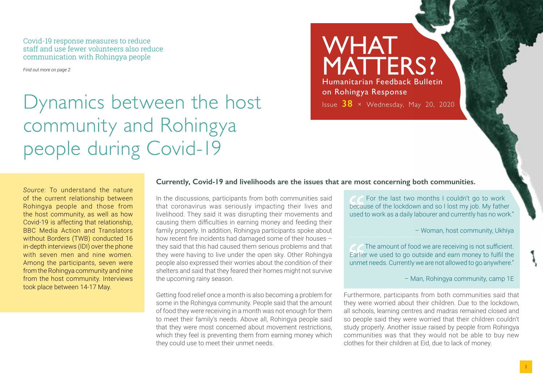Covid-19 response measures to reduce staff and use fewer volunteers also reduce communication with Rohingya people

*Find out more on page 2*

## Dynamics between the host community and Rohingya people during Covid-19

### WHAT MATTERS? Humanitarian Feedback Bulletin on Rohingya Response Issue **38** × Wednesday, May 20, 2020

*Source*: To understand the nature of the current relationship between Rohingya people and those from the host community, as well as how Covid-19 is affecting that relationship, BBC Media Action and Translators without Borders (TWB) conducted 16 in-depth interviews (IDI) over the phone with seven men and nine women. Among the participants, seven were from the Rohingya community and nine from the host community. Interviews took place between 14-17 May.

#### **Currently, Covid-19 and livelihoods are the issues that are most concerning both communities.**

In the discussions, participants from both communities said that coronavirus was seriously impacting their lives and livelihood. They said it was disrupting their movements and causing them difficulties in earning money and feeding their family properly. In addition, Rohingya participants spoke about how recent fire incidents had damaged some of their houses – they said that this had caused them serious problems and that they were having to live under the open sky. Other Rohingya people also expressed their worries about the condition of their shelters and said that they feared their homes might not survive the upcoming rainy season.

Getting food relief once a month is also becoming a problem for some in the Rohingya community. People said that the amount of food they were receiving in a month was not enough for them to meet their family's needs. Above all, Rohingya people said that they were most concerned about movement restrictions, which they feel is preventing them from earning money which they could use to meet their unmet needs.

 For the last two months I couldn't go to work because of the lockdown and so I lost my job. My father used to work as a daily labourer and currently has no work."

– Woman, host community, Ukhiya

The amount of food we are receiving is not sufficient. Earlier we used to go outside and earn money to fulfil the unmet needs. Currently we are not allowed to go anywhere."

– Man, Rohingya community, camp 1E

Furthermore, participants from both communities said that they were worried about their children. Due to the lockdown, all schools, learning centres and madras remained closed and so people said they were worried that their children couldn't study properly. Another issue raised by people from Rohingya communities was that they would not be able to buy new clothes for their children at Eid, due to lack of money.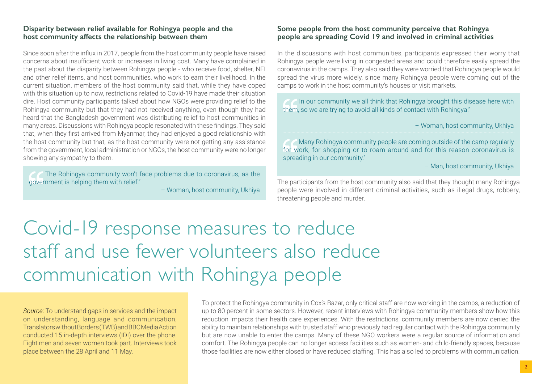#### **Disparity between relief available for Rohingya people and the host community affects the relationship between them**

Since soon after the influx in 2017, people from the host community people have raised concerns about insufficient work or increases in living cost. Many have complained in the past about the disparity between Rohingya people - who receive food, shelter, NFI and other relief items, and host communities, who work to earn their livelihood. In the current situation, members of the host community said that, while they have coped with this situation up to now, restrictions related to Covid-19 have made their situation dire. Host community participants talked about how NGOs were providing relief to the Rohingya community but that they had not received anything, even though they had heard that the Bangladesh government was distributing relief to host communities in many areas. Discussions with Rohingya people resonated with these findings. They said that, when they first arrived from Myanmar, they had enjoyed a good relationship with the host community but that, as the host community were not getting any assistance from the government, local administration or NGOs, the host community were no longer showing any sympathy to them.

 The Rohingya community won't face problems due to coronavirus, as the government is helping them with relief."

– Woman, host community, Ukhiya

#### **Some people from the host community perceive that Rohingya people are spreading Covid 19 and involved in criminal activities**

In the discussions with host communities, participants expressed their worry that Rohingya people were living in congested areas and could therefore easily spread the coronavirus in the camps. They also said they were worried that Rohingya people would spread the virus more widely, since many Rohingya people were coming out of the camps to work in the host community's houses or visit markets.

In our community we all think that Rohingya brought this disease here with them, so we are trying to avoid all kinds of contact with Rohingya."

– Woman, host community, Ukhiya

 Many Rohingya community people are coming outside of the camp regularly for work, for shopping or to roam around and for this reason coronavirus is spreading in our community."

– Man, host community, Ukhiya

The participants from the host community also said that they thought many Rohingya people were involved in different criminal activities, such as illegal drugs, robbery, threatening people and murder.

# Covid-19 response measures to reduce staff and use fewer volunteers also reduce communication with Rohingya people

*Source*: To understand gaps in services and the impact on understanding, language and communication, Translators without Borders (TWB) and BBC Media Action conducted 15 in-depth interviews (IDI) over the phone. Eight men and seven women took part. Interviews took place between the 28 April and 11 May.

To protect the Rohingya community in Cox's Bazar, only critical staff are now working in the camps, a reduction of up to 80 percent in some sectors. However, recent interviews with Rohingya community members show how this reduction impacts their health care experiences. With the restrictions, community members are now denied the ability to maintain relationships with trusted staff who previously had regular contact with the Rohingya community but are now unable to enter the camps. Many of these NGO workers were a regular source of information and comfort. The Rohingya people can no longer access facilities such as women- and child-friendly spaces, because those facilities are now either closed or have reduced staffing. This has also led to problems with communication.